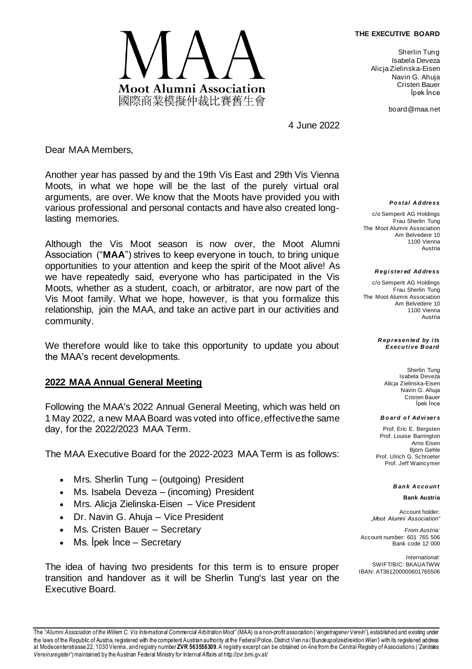#### **THE EXECUTIVE BOARD**



Sherlin Tung Isabela Deveza Alicja Zielinska-Eisen Navin G. Ahuja Cristen Bauer İpek İnce

board@maa.net

4 June 2022

Dear MAA Members,

Another year has passed by and the 19th Vis East and 29th Vis Vienna Moots, in what we hope will be the last of the purely virtual oral arguments, are over. We know that the Moots have provided you with various professional and personal contacts and have also created longlasting memories.

Although the Vis Moot season is now over, the Moot Alumni Association ("**MAA**") strives to keep everyone in touch, to bring unique opportunities to your attention and keep the spirit of the Moot alive! As we have repeatedly said, everyone who has participated in the Vis Moots, whether as a student, coach, or arbitrator, are now part of the Vis Moot family. What we hope, however, is that you formalize this relationship, join the MAA, and take an active part in our activities and community.

We therefore would like to take this opportunity to update you about the MAA's recent developments.

## **2022 MAA Annual General Meeting**

Following the MAA's 2022 Annual General Meeting, which was held on 1 May 2022, a new MAA Board was voted into office, effective the same day, for the 2022/2023 MAA Term.

The MAA Executive Board for the 2022-2023 MAA Term is as follows:

- Mrs. Sherlin Tung (outgoing) President
- Ms. Isabela Deveza (incoming) President
- Mrs. Alicja Zielinska-Eisen Vice President
- Dr. Navin G. Ahuja Vice President
- Ms. Cristen Bauer Secretary
- Ms. lpek Ince Secretary

The idea of having two presidents for this term is to ensure proper transition and handover as it will be Sherlin Tung's last year on the Executive Board.

*Po stal A d dress*

c/o Semperit AG Holdings Frau Sherlin Tung The Moot Alumni Association Am Belvedere 10 1100 Vienna Austria

*R eg i ster ed Ad dress*

c/o Semperit AG Holdings Frau Sherlin Tung The Moot Alumni Association Am Belvedere 10 1100 Vienna Austria

> *R ep r esen ted by i ts Execu ti ve B oard*

> > Sherlin Tung Isabela Deveza Alicja Zielinska-Eisen Navin G. Ahuja Cristen Bauer İpek İnce

### *B o ar d o f Ad vi ser s*

Prof. Eric E. Bergsten Prof. Louise Barrington Arno Eisen Björn Gehle Prof. Ulrich G. Schroeter Prof. Jeff Waincymer

#### *B an k A cco un t*

**Bank Austria**

Account holder: *"Moot Alumni Association"*

*From Austria:* Account number: 601 765 506 Bank code 12 000

*International:* SWIFT/BIC: BKAUATWW IBAN: AT361200000601765506

The *"Alumni Association of the Willem C. Vis International Commercial Arbitration Moot"* (MAA) is a non-profit association (*'eingetragener Verein'*), established and existing under the laws of the Republic of Austria, registered with the competent Austrian authority at the Federal Police, District Vien na (*'Bundespolizeidirektion Wien'*) with its registered address at Modecenterstrasse 22, 1030 Vienna, and registry number **ZVR 563556309**. A registry excerpt can be obtained on-line from the Central Registry of Associations (*'Zentrales Vereinsregister'*) maintained by the Austrian Federal Ministry for Internal Affairs at http://zvr.bmi.gv.at/